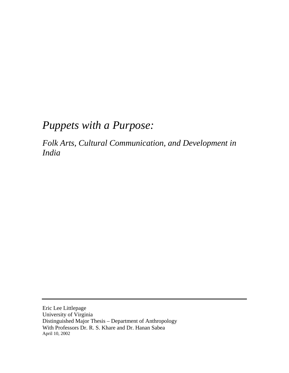# *Puppets with a Purpose:*

*Folk Arts, Cultural Communication, and Development in India*

Eric Lee Littlepage University of Virginia Distinguished Major Thesis – Department of Anthropology With Professors Dr. R. S. Khare and Dr. Hanan Sabea April 10, 2002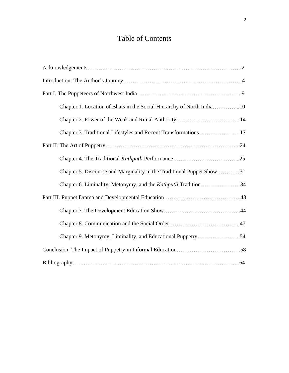## Table of Contents

| Chapter 1. Location of Bhats in the Social Hierarchy of North India10 |
|-----------------------------------------------------------------------|
|                                                                       |
| Chapter 3. Traditional Lifestyles and Recent Transformations17        |
|                                                                       |
|                                                                       |
| Chapter 5. Discourse and Marginality in the Traditional Puppet Show31 |
| Chapter 6. Liminality, Metonymy, and the <i>Kathputli</i> Tradition34 |
|                                                                       |
|                                                                       |
|                                                                       |
| Chapter 9. Metonymy, Liminality, and Educational Puppetry54           |
|                                                                       |
|                                                                       |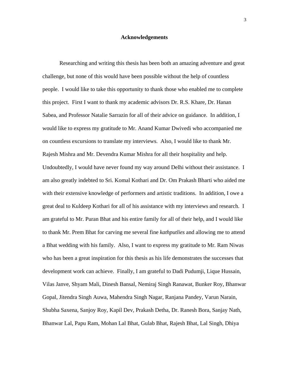#### **Acknowledgements**

Researching and writing this thesis has been both an amazing adventure and great challenge, but none of this would have been possible without the help of countless people. I would like to take this opportunity to thank those who enabled me to complete this project. First I want to thank my academic advisors Dr. R.S. Khare, Dr. Hanan Sabea, and Professor Natalie Sarrazin for all of their advice on guidance. In addition, I would like to express my gratitude to Mr. Anand Kumar Dwivedi who accompanied me on countless excursions to translate my interviews. Also, I would like to thank Mr. Rajesh Mishra and Mr. Devendra Kumar Mishra for all their hospitality and help. Undoubtedly, I would have never found my way around Delhi without their assistance. I am also greatly indebted to Sri. Komal Kothari and Dr. Om Prakash Bharti who aided me with their extensive knowledge of performers and artistic traditions. In addition, I owe a great deal to Kuldeep Kothari for all of his assistance with my interviews and research. I am grateful to Mr. Puran Bhat and his entire family for all of their help, and I would like to thank Mr. Prem Bhat for carving me several fine *kathputlies* and allowing me to attend a Bhat wedding with his family. Also, I want to express my gratitude to Mr. Ram Niwas who has been a great inspiration for this thesis as his life demonstrates the successes that development work can achieve. Finally, I am grateful to Dadi Pudumji, Lique Hussain, Vilas Janve, Shyam Mali, Dinesh Bansal, Nemiraj Singh Ranawat, Bunker Roy, Bhanwar Gopal, Jitendra Singh Auwa, Mahendra Singh Nagar, Ranjana Pandey, Varun Narain, Shubha Saxena, Sanjoy Roy, Kapil Dev, Prakash Detha, Dr. Ranesh Bora, Sanjay Nath, Bhanwar Lal, Papu Ram, Mohan Lal Bhat, Gulab Bhat, Rajesh Bhat, Lal Singh, Dhiya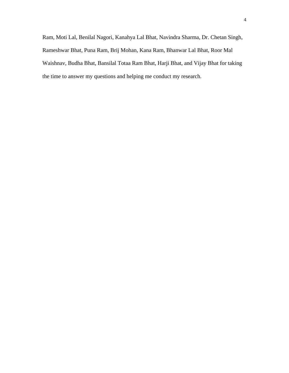Ram, Moti Lal, Benilal Nagori, Kanahya Lal Bhat, Navindra Sharma, Dr. Chetan Singh, Rameshwar Bhat, Puna Ram, Brij Mohan, Kana Ram, Bhanwar Lal Bhat, Roor Mal Waishnav, Budha Bhat, Bansilal Totaa Ram Bhat, Harji Bhat, and Vijay Bhat for taking the time to answer my questions and helping me conduct my research.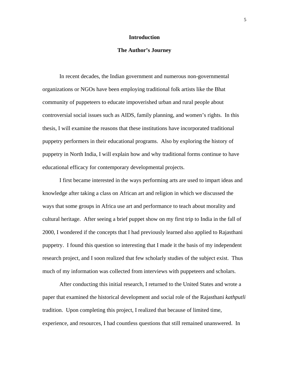## **Introduction**

## **The Author's Journey**

In recent decades, the Indian government and numerous non-governmental organizations or NGOs have been employing traditional folk artists like the Bhat community of puppeteers to educate impoverished urban and rural people about controversial social issues such as AIDS, family planning, and women's rights. In this thesis, I will examine the reasons that these institutions have incorporated traditional puppetry performers in their educational programs. Also by exploring the history of puppetry in North India, I will explain how and why traditional forms continue to have educational efficacy for contemporary developmental projects.

I first became interested in the ways performing arts are used to impart ideas and knowledge after taking a class on African art and religion in which we discussed the ways that some groups in Africa use art and performance to teach about morality and cultural heritage. After seeing a brief puppet show on my first trip to India in the fall of 2000, I wondered if the concepts that I had previously learned also applied to Rajasthani puppetry. I found this question so interesting that I made it the basis of my independent research project, and I soon realized that few scholarly studies of the subject exist. Thus much of my information was collected from interviews with puppeteers and scholars.

After conducting this initial research, I returned to the United States and wrote a paper that examined the historical development and social role of the Rajasthani *kathputli* tradition. Upon completing this project, I realized that because of limited time, experience, and resources, I had countless questions that still remained unanswered. In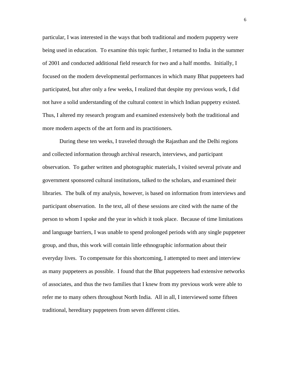particular, I was interested in the ways that both traditional and modern puppetry were being used in education. To examine this topic further, I returned to India in the summer of 2001 and conducted additional field research for two and a half months. Initially, I focused on the modern developmental performances in which many Bhat puppeteers had participated, but after only a few weeks, I realized that despite my previous work, I did not have a solid understanding of the cultural context in which Indian puppetry existed. Thus, I altered my research program and examined extensively both the traditional and more modern aspects of the art form and its practitioners.

During these ten weeks, I traveled through the Rajasthan and the Delhi regions and collected information through archival research, interviews, and participant observation. To gather written and photographic materials, I visited several private and government sponsored cultural institutions, talked to the scholars, and examined their libraries. The bulk of my analysis, however, is based on information from interviews and participant observation. In the text, all of these sessions are cited with the name of the person to whom I spoke and the year in which it took place. Because of time limitations and language barriers, I was unable to spend prolonged periods with any single puppeteer group, and thus, this work will contain little ethnographic information about their everyday lives. To compensate for this shortcoming, I attempted to meet and interview as many puppeteers as possible. I found that the Bhat puppeteers had extensive networks of associates, and thus the two families that I knew from my previous work were able to refer me to many others throughout North India. All in all, I interviewed some fifteen traditional, hereditary puppeteers from seven different cities.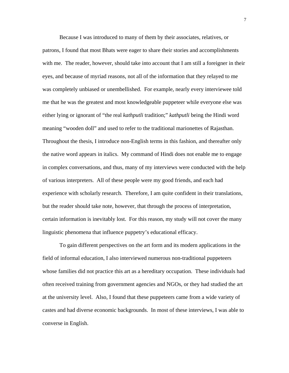Because I was introduced to many of them by their associates, relatives, or patrons, I found that most Bhats were eager to share their stories and accomplishments with me. The reader, however, should take into account that I am still a foreigner in their eyes, and because of myriad reasons, not all of the information that they relayed to me was completely unbiased or unembellished. For example, nearly every interviewee told me that he was the greatest and most knowledgeable puppeteer while everyone else was either lying or ignorant of "the real *kathputli* tradition;" *kathputli* being the Hindi word meaning "wooden doll" and used to refer to the traditional marionettes of Rajasthan. Throughout the thesis, I introduce non-English terms in this fashion, and thereafter only the native word appears in italics. My command of Hindi does not enable me to engage in complex conversations, and thus, many of my interviews were conducted with the help of various interpreters. All of these people were my good friends, and each had experience with scholarly research. Therefore, I am quite confident in their translations, but the reader should take note, however, that through the process of interpretation, certain information is inevitably lost. For this reason, my study will not cover the many linguistic phenomena that influence puppetry's educational efficacy.

To gain different perspectives on the art form and its modern applications in the field of informal education, I also interviewed numerous non-traditional puppeteers whose families did not practice this art as a hereditary occupation. These individuals had often received training from government agencies and NGOs, or they had studied the art at the university level. Also, I found that these puppeteers came from a wide variety of castes and had diverse economic backgrounds. In most of these interviews, I was able to converse in English.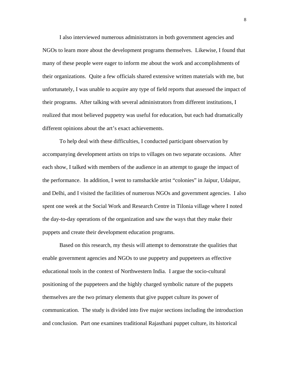I also interviewed numerous administrators in both government agencies and NGOs to learn more about the development programs themselves. Likewise, I found that many of these people were eager to inform me about the work and accomplishments of their organizations. Quite a few officials shared extensive written materials with me, but unfortunately, I was unable to acquire any type of field reports that assessed the impact of their programs. After talking with several administrators from different institutions, I realized that most believed puppetry was useful for education, but each had dramatically different opinions about the art's exact achievements.

To help deal with these difficulties, I conducted participant observation by accompanying development artists on trips to villages on two separate occasions. After each show, I talked with members of the audience in an attempt to gauge the impact of the performance. In addition, I went to ramshackle artist "colonies" in Jaipur, Udaipur, and Delhi, and I visited the facilities of numerous NGOs and government agencies. I also spent one week at the Social Work and Research Centre in Tilonia village where I noted the day-to-day operations of the organization and saw the ways that they make their puppets and create their development education programs.

Based on this research, my thesis will attempt to demonstrate the qualities that enable government agencies and NGOs to use puppetry and puppeteers as effective educational tools in the context of Northwestern India. I argue the socio-cultural positioning of the puppeteers and the highly charged symbolic nature of the puppets themselves are the two primary elements that give puppet culture its power of communication. The study is divided into five major sections including the introduction and conclusion. Part one examines traditional Rajasthani puppet culture, its historical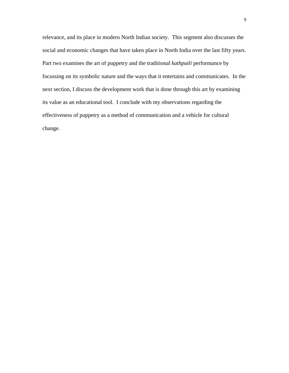relevance, and its place in modern North Indian society. This segment also discusses the social and economic changes that have taken place in North India over the last fifty years. Part two examines the art of puppetry and the traditional *kathputli* performance by focussing on its symbolic nature and the ways that it entertains and communicates. In the next section, I discuss the development work that is done through this art by examining its value as an educational tool. I conclude with my observations regarding the effectiveness of puppetry as a method of communication and a vehicle for cultural change.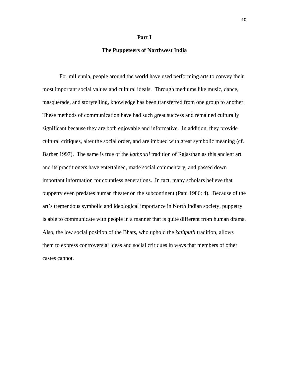#### **Part I**

## **The Puppeteers of Northwest India**

For millennia, people around the world have used performing arts to convey their most important social values and cultural ideals. Through mediums like music, dance, masquerade, and storytelling, knowledge has been transferred from one group to another. These methods of communication have had such great success and remained culturally significant because they are both enjoyable and informative. In addition, they provide cultural critiques, alter the social order, and are imbued with great symbolic meaning (cf. Barber 1997). The same is true of the *kathputli* tradition of Rajasthan as this ancient art and its practitioners have entertained, made social commentary, and passed down important information for countless generations. In fact, many scholars believe that puppetry even predates human theater on the subcontinent (Pani 1986: 4). Because of the art's tremendous symbolic and ideological importance in North Indian society, puppetry is able to communicate with people in a manner that is quite different from human drama. Also, the low social position of the Bhats, who uphold the *kathputli* tradition, allows them to express controversial ideas and social critiques in ways that members of other castes cannot.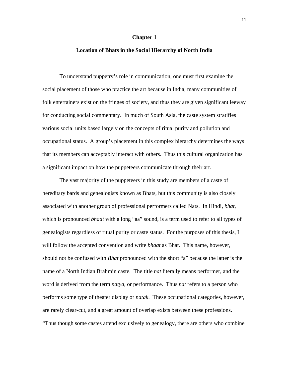#### **Chapter 1**

## **Location of Bhats in the Social Hierarchy of North India**

To understand puppetry's role in communication, one must first examine the social placement of those who practice the art because in India, many communities of folk entertainers exist on the fringes of society, and thus they are given significant leeway for conducting social commentary. In much of South Asia, the caste system stratifies various social units based largely on the concepts of ritual purity and pollution and occupational status. A group's placement in this complex hierarchy determines the ways that its members can acceptably interact with others. Thus this cultural organization has a significant impact on how the puppeteers communicate through their art.

The vast majority of the puppeteers in this study are members of a caste of hereditary bards and genealogists known as Bhats, but this community is also closely associated with another group of professional performers called Nats. In Hindi, *bhat*, which is pronounced *bhaat* with a long "aa" sound, is a term used to refer to all types of genealogists regardless of ritual purity or caste status. For the purposes of this thesis, I will follow the accepted convention and write *bhaat* as Bhat. This name, however, should not be confused with *Bhat* pronounced with the short "a" because the latter is the name of a North Indian Brahmin caste. The title *nat* literally means performer, and the word is derived from the term *natya*, or performance. Thus *nat* refers to a person who performs some type of theater display or *natak*. These occupational categories, however, are rarely clear-cut, and a great amount of overlap exists between these professions. "Thus though some castes attend exclusively to genealogy, there are others who combine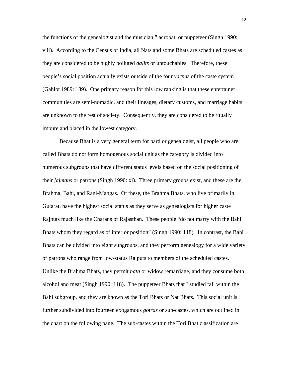the functions of the genealogist and the musician," acrobat, or puppeteer (Singh 1990: viii). According to the Census of India, all Nats and some Bhats are scheduled castes as they are considered to be highly polluted *dalits* or untouchables. Therefore, these people's social position actually exists outside of the four *varnas* of the caste system (Gahlot 1989: 189). One primary reason for this low ranking is that these entertainer communities are semi-nomadic, and their lineages, dietary customs, and marriage habits are unknown to the rest of society. Consequently, they are considered to be ritually impure and placed in the lowest category.

Because Bhat is a very general term for bard or genealogist, all people who are called Bhats do not form homogenous social unit as the category is divided into numerous subgroups that have different status levels based on the social positioning of their *jajmans* or patrons (Singh 1990: xi). Three primary groups exist, and these are the Brahma, Bahi, and Rani-Mangas. Of these, the Brahma Bhats, who live primarily in Gujarat, have the highest social status as they serve as genealogists for higher caste Rajputs much like the Charans of Rajasthan. These people "do not marry with the Bahi Bhats whom they regard as of inferior position" (Singh 1990: 118). In contrast, the Bahi Bhats can be divided into eight subgroups, and they perform genealogy for a wide variety of patrons who range from low-status Rajputs to members of the scheduled castes. Unlike the Brahma Bhats, they permit *nata* or widow remarriage, and they consume both alcohol and meat (Singh 1990: 118). The puppeteer Bhats that I studied fall within the Bahi subgroup, and they are known as the Tori Bhats or Nat Bhats. This social unit is further subdivided into fourteen exogamous *gotras* or sub-castes, which are outlined in the chart on the following page. The sub-castes within the Tori Bhat classification are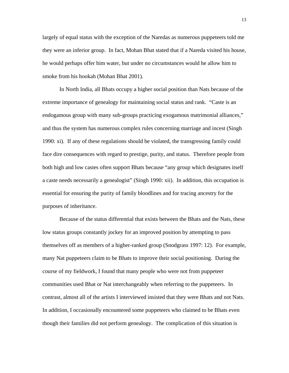largely of equal status with the exception of the Naredas as numerous puppeteers told me they were an inferior group. In fact, Mohan Bhat stated that if a Nareda visited his house, he would perhaps offer him water, but under no circumstances would he allow him to smoke from his hookah (Mohan Bhat 2001).

In North India, all Bhats occupy a higher social position than Nats because of the extreme importance of genealogy for maintaining social status and rank. "Caste is an endogamous group with many sub-groups practicing exogamous matrimonial alliances," and thus the system has numerous complex rules concerning marriage and incest (Singh 1990: xi). If any of these regulations should be violated, the transgressing family could face dire consequences with regard to prestige, purity, and status. Therefore people from both high and low castes often support Bhats because "any group which designates itself a caste needs necessarily a genealogist" (Singh 1990: xii). In addition, this occupation is essential for ensuring the purity of family bloodlines and for tracing ancestry for the purposes of inheritance.

Because of the status differential that exists between the Bhats and the Nats, these low status groups constantly jockey for an improved position by attempting to pass themselves off as members of a higher-ranked group (Snodgrass 1997: 12). For example, many Nat puppeteers claim to be Bhats to improve their social positioning. During the course of my fieldwork, I found that many people who were not from puppeteer communities used Bhat or Nat interchangeably when referring to the puppeteers. In contrast, almost all of the artists I interviewed insisted that they were Bhats and not Nats. In addition, I occasionally encountered some puppeteers who claimed to be Bhats even though their families did not perform genealogy. The complication of this situation is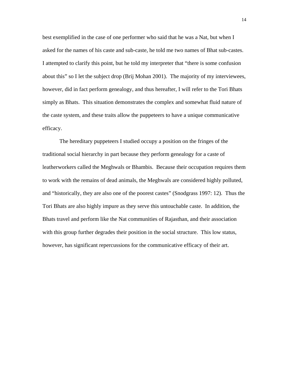best exemplified in the case of one performer who said that he was a Nat, but when I asked for the names of his caste and sub-caste, he told me two names of Bhat sub-castes. I attempted to clarify this point, but he told my interpreter that "there is some confusion about this" so I let the subject drop (Brij Mohan 2001). The majority of my interviewees, however, did in fact perform genealogy, and thus hereafter, I will refer to the Tori Bhats simply as Bhats. This situation demonstrates the complex and somewhat fluid nature of the caste system, and these traits allow the puppeteers to have a unique communicative efficacy.

The hereditary puppeteers I studied occupy a position on the fringes of the traditional social hierarchy in part because they perform genealogy for a caste of leatherworkers called the Meghwals or Bhambis. Because their occupation requires them to work with the remains of dead animals, the Meghwals are considered highly polluted, and "historically, they are also one of the poorest castes" (Snodgrass 1997: 12). Thus the Tori Bhats are also highly impure as they serve this untouchable caste. In addition, the Bhats travel and perform like the Nat communities of Rajasthan, and their association with this group further degrades their position in the social structure. This low status, however, has significant repercussions for the communicative efficacy of their art.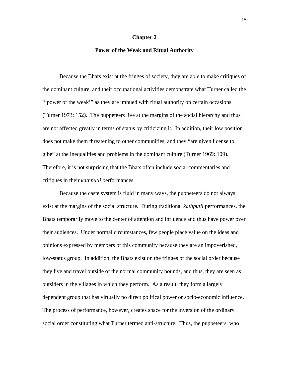#### **Chapter 2**

## **Power of the Weak and Ritual Authority**

Because the Bhats exist at the fringes of society, they are able to make critiques of the dominant culture, and their occupational activities demonstrate what Turner called the "'power of the weak'" as they are imbued with ritual authority on certain occasions (Turner 1973: 152). The puppeteers live at the margins of the social hierarchy and thus are not affected greatly in terms of status by criticizing it. In addition, their low position does not make them threatening to other communities, and they "are given license to gibe" at the inequalities and problems in the dominant culture (Turner 1969: 109). Therefore, it is not surprising that the Bhats often include social commentaries and critiques in their *kathputli* performances.

Because the caste system is fluid in many ways, the puppeteers do not always exist at the margins of the social structure. During traditional *kathputli* performances, the Bhats temporarily move to the center of attention and influence and thus have power over their audiences. Under normal circumstances, few people place value on the ideas and opinions expressed by members of this community because they are an impoverished, low-status group. In addition, the Bhats exist on the fringes of the social order because they live and travel outside of the normal community bounds, and thus, they are seen as outsiders in the villages in which they perform. As a result, they form a largely dependent group that has virtually no direct political power or socio-economic influence. The process of performance, however, creates space for the inversion of the ordinary social order constituting what Turner termed anti-structure. Thus, the puppeteers, who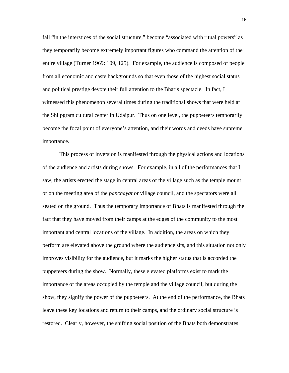fall "in the interstices of the social structure," become "associated with ritual powers" as they temporarily become extremely important figures who command the attention of the entire village (Turner 1969: 109, 125). For example, the audience is composed of people from all economic and caste backgrounds so that even those of the highest social status and political prestige devote their full attention to the Bhat's spectacle. In fact, I witnessed this phenomenon several times during the traditional shows that were held at the Shilpgram cultural center in Udaipur. Thus on one level, the puppeteers temporarily become the focal point of everyone's attention, and their words and deeds have supreme importance.

This process of inversion is manifested through the physical actions and locations of the audience and artists during shows. For example, in all of the performances that I saw, the artists erected the stage in central areas of the village such as the temple mount or on the meeting area of the *panchayat* or village council, and the spectators were all seated on the ground. Thus the temporary importance of Bhats is manifested through the fact that they have moved from their camps at the edges of the community to the most important and central locations of the village. In addition, the areas on which they perform are elevated above the ground where the audience sits, and this situation not only improves visibility for the audience, but it marks the higher status that is accorded the puppeteers during the show. Normally, these elevated platforms exist to mark the importance of the areas occupied by the temple and the village council, but during the show, they signify the power of the puppeteers. At the end of the performance, the Bhats leave these key locations and return to their camps, and the ordinary social structure is restored. Clearly, however, the shifting social position of the Bhats both demonstrates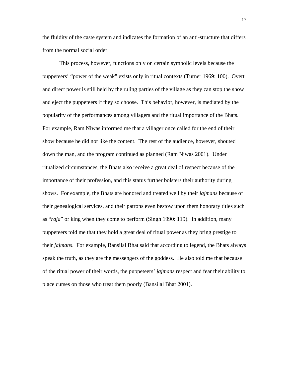the fluidity of the caste system and indicates the formation of an anti-structure that differs from the normal social order.

This process, however, functions only on certain symbolic levels because the puppeteers' "power of the weak" exists only in ritual contexts (Turner 1969: 100). Overt and direct power is still held by the ruling parties of the village as they can stop the show and eject the puppeteers if they so choose. This behavior, however, is mediated by the popularity of the performances among villagers and the ritual importance of the Bhats. For example, Ram Niwas informed me that a villager once called for the end of their show because he did not like the content. The rest of the audience, however, shouted down the man, and the program continued as planned (Ram Niwas 2001). Under ritualized circumstances, the Bhats also receive a great deal of respect because of the importance of their profession, and this status further bolsters their authority during shows. For example, the Bhats are honored and treated well by their *jajmans* because of their genealogical services, and their patrons even bestow upon them honorary titles such as "*raja*" or king when they come to perform (Singh 1990: 119). In addition, many puppeteers told me that they hold a great deal of ritual power as they bring prestige to their *jajmans*. For example, Bansilal Bhat said that according to legend, the Bhats always speak the truth, as they are the messengers of the goddess. He also told me that because of the ritual power of their words, the puppeteers' *jajmans* respect and fear their ability to place curses on those who treat them poorly (Bansilal Bhat 2001).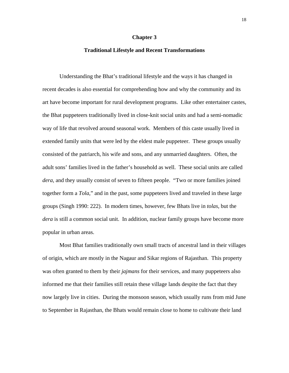## **Chapter 3**

## **Traditional Lifestyle and Recent Transformations**

Understanding the Bhat's traditional lifestyle and the ways it has changed in recent decades is also essential for comprehending how and why the community and its art have become important for rural development programs. Like other entertainer castes, the Bhat puppeteers traditionally lived in close-knit social units and had a semi-nomadic way of life that revolved around seasonal work. Members of this caste usually lived in extended family units that were led by the eldest male puppeteer. These groups usually consisted of the patriarch, his wife and sons, and any unmarried daughters. Often, the adult sons' families lived in the father's household as well. These social units are called *dera*, and they usually consist of seven to fifteen people. "Two or more families joined together form a *Tola*," and in the past, some puppeteers lived and traveled in these large groups (Singh 1990: 222). In modern times, however, few Bhats live in *tolas*, but the *dera* is still a common social unit. In addition, nuclear family groups have become more popular in urban areas.

Most Bhat families traditionally own small tracts of ancestral land in their villages of origin, which are mostly in the Nagaur and Sikar regions of Rajasthan. This property was often granted to them by their *jajmans* for their services, and many puppeteers also informed me that their families still retain these village lands despite the fact that they now largely live in cities. During the monsoon season, which usually runs from mid June to September in Rajasthan, the Bhats would remain close to home to cultivate their land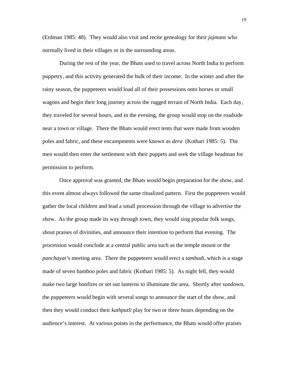(Erdman 1985: 48). They would also visit and recite genealogy for their *jajmans* who normally lived in their villages or in the surrounding areas.

During the rest of the year, the Bhats used to travel across North India to perform puppetry, and this activity generated the bulk of their income. In the winter and after the rainy season, the puppeteers would load all of their possessions onto horses or small wagons and begin their long journey across the rugged terrain of North India. Each day, they traveled for several hours, and in the evening, the group would stop on the roadside near a town or village. There the Bhats would erect tents that were made from wooden poles and fabric, and these encampments were known as *dera* (Kothari 1985: 5). The men would then enter the settlement with their puppets and seek the village headman for permission to perform.

Once approval was granted, the Bhats would begin preparation for the show, and this event almost always followed the same ritualized pattern. First the puppeteers would gather the local children and lead a small procession through the village to advertise the show. As the group made its way through town, they would sing popular folk songs, shout praises of divinities, and announce their intention to perform that evening. The procession would conclude at a central public area such as the temple mount or the *panchayat's* meeting area. There the puppeteers would erect a *tambudi,* which is a stage made of seven bamboo poles and fabric (Kothari 1985: 5). As night fell, they would make two large bonfires or set out lanterns to illuminate the area. Shortly after sundown, the puppeteers would begin with several songs to announce the start of the show, and then they would conduct their *kathputli* play for two or three hours depending on the audience's interest. At various points in the performance, the Bhats would offer praises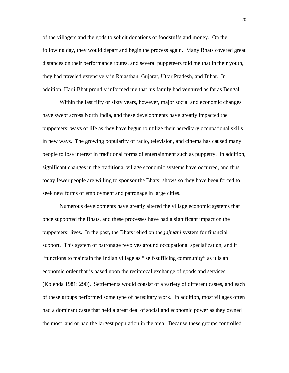of the villagers and the gods to solicit donations of foodstuffs and money. On the following day, they would depart and begin the process again. Many Bhats covered great distances on their performance routes, and several puppeteers told me that in their youth, they had traveled extensively in Rajasthan, Gujarat, Uttar Pradesh, and Bihar. In addition, Harji Bhat proudly informed me that his family had ventured as far as Bengal.

Within the last fifty or sixty years, however, major social and economic changes have swept across North India, and these developments have greatly impacted the puppeteers' ways of life as they have begun to utilize their hereditary occupational skills in new ways. The growing popularity of radio, television, and cinema has caused many people to lose interest in traditional forms of entertainment such as puppetry. In addition, significant changes in the traditional village economic systems have occurred, and thus today fewer people are willing to sponsor the Bhats' shows so they have been forced to seek new forms of employment and patronage in large cities.

Numerous developments have greatly altered the village economic systems that once supported the Bhats, and these processes have had a significant impact on the puppeteers' lives. In the past, the Bhats relied on the *jajmani* system for financial support. This system of patronage revolves around occupational specialization, and it "functions to maintain the Indian village as " self-sufficing community" as it is an economic order that is based upon the reciprocal exchange of goods and services (Kolenda 1981: 290). Settlements would consist of a variety of different castes, and each of these groups performed some type of hereditary work. In addition, most villages often had a dominant caste that held a great deal of social and economic power as they owned the most land or had the largest population in the area. Because these groups controlled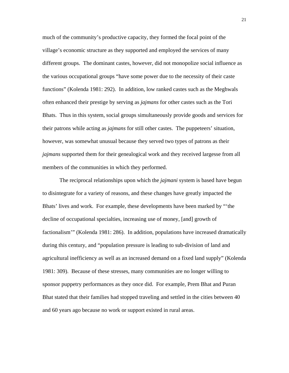much of the community's productive capacity, they formed the focal point of the village's economic structure as they supported and employed the services of many different groups. The dominant castes, however, did not monopolize social influence as the various occupational groups "have some power due to the necessity of their caste functions" (Kolenda 1981: 292). In addition, low ranked castes such as the Meghwals often enhanced their prestige by serving as *jajmans* for other castes such as the Tori Bhats. Thus in this system, social groups simultaneously provide goods and services for their patrons while acting as *jajmans* for still other castes. The puppeteers' situation, however, was somewhat unusual because they served two types of patrons as their *jajmans* supported them for their genealogical work and they received largesse from all members of the communities in which they performed.

The reciprocal relationships upon which the *jajmani* system is based have begun to disintegrate for a variety of reasons, and these changes have greatly impacted the Bhats' lives and work. For example, these developments have been marked by "'the decline of occupational specialties, increasing use of money, [and] growth of factionalism'" (Kolenda 1981: 286). In addition, populations have increased dramatically during this century, and "population pressure is leading to sub-division of land and agricultural inefficiency as well as an increased demand on a fixed land supply" (Kolenda 1981: 309). Because of these stresses, many communities are no longer willing to sponsor puppetry performances as they once did. For example, Prem Bhat and Puran Bhat stated that their families had stopped traveling and settled in the cities between 40 and 60 years ago because no work or support existed in rural areas.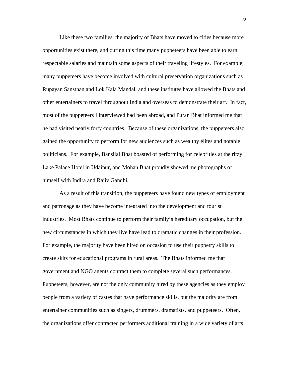Like these two families, the majority of Bhats have moved to cities because more opportunities exist there, and during this time many puppeteers have been able to earn respectable salaries and maintain some aspects of their traveling lifestyles. For example, many puppeteers have become involved with cultural preservation organizations such as Rupayan Sansthan and Lok Kala Mandal, and these institutes have allowed the Bhats and other entertainers to travel throughout India and overseas to demonstrate their art. In fact, most of the puppeteers I interviewed had been abroad, and Puran Bhat informed me that he had visited nearly forty countries. Because of these organizations, the puppeteers also gained the opportunity to perform for new audiences such as wealthy élites and notable politicians. For example, Bansilal Bhat boasted of performing for celebrities at the ritzy Lake Palace Hotel in Udaipur, and Mohan Bhat proudly showed me photographs of himself with Indira and Rajiv Gandhi.

As a result of this transition, the puppeteers have found new types of employment and patronage as they have become integrated into the development and tourist industries. Most Bhats continue to perform their family's hereditary occupation, but the new circumstances in which they live have lead to dramatic changes in their profession. For example, the majority have been hired on occasion to use their puppetry skills to create skits for educational programs in rural areas. The Bhats informed me that government and NGO agents contract them to complete several such performances. Puppeteers, however, are not the only community hired by these agencies as they employ people from a variety of castes that have performance skills, but the majority are from entertainer communities such as singers, drummers, dramatists, and puppeteers. Often, the organizations offer contracted performers additional training in a wide variety of arts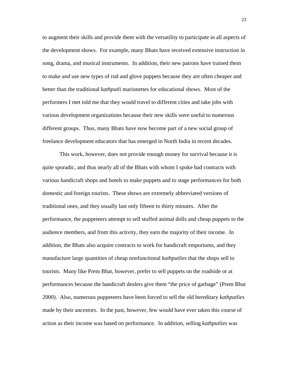to augment their skills and provide them with the versatility to participate in all aspects of the development shows. For example, many Bhats have received extensive instruction in song, drama, and musical instruments. In addition, their new patrons have trained them to make and use new types of rod and glove puppets because they are often cheaper and better than the traditional *kathputli* marionettes for educational shows. Most of the performers I met told me that they would travel to different cities and take jobs with various development organizations because their new skills were useful to numerous different groups. Thus, many Bhats have now become part of a new social group of freelance development educators that has emerged in North India in recent decades.

This work, however, does not provide enough money for survival because it is quite sporadic, and thus nearly all of the Bhats with whom I spoke had contracts with various handicraft shops and hotels to make puppets and to stage performances for both domestic and foreign tourists. These shows are extremely abbreviated versions of traditional ones, and they usually last only fifteen to thirty minutes. After the performance, the puppeteers attempt to sell stuffed animal dolls and cheap puppets to the audience members, and from this activity, they earn the majority of their income. In addition, the Bhats also acquire contracts to work for handicraft emporiums, and they manufacture large quantities of cheap nonfunctional *kathputlies* that the shops sell to tourists. Many like Prem Bhat, however, prefer to sell puppets on the roadside or at performances because the handicraft dealers give them "the price of garbage" (Prem Bhat 2000). Also, numerous puppeteers have been forced to sell the old hereditary *kathputlies* made by their ancestors. In the past, however, few would have ever taken this course of action as their income was based on performance. In addition, selling *kathputlies* was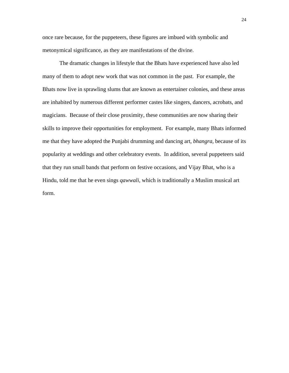once rare because, for the puppeteers, these figures are imbued with symbolic and metonymical significance, as they are manifestations of the divine.

The dramatic changes in lifestyle that the Bhats have experienced have also led many of them to adopt new work that was not common in the past. For example, the Bhats now live in sprawling slums that are known as entertainer colonies, and these areas are inhabited by numerous different performer castes like singers, dancers, acrobats, and magicians. Because of their close proximity, these communities are now sharing their skills to improve their opportunities for employment. For example, many Bhats informed me that they have adopted the Punjabi drumming and dancing art, *bhangra*, because of its popularity at weddings and other celebratory events. In addition, several puppeteers said that they run small bands that perform on festive occasions, and Vijay Bhat, who is a Hindu, told me that he even sings *qawwali*, which is traditionally a Muslim musical art form.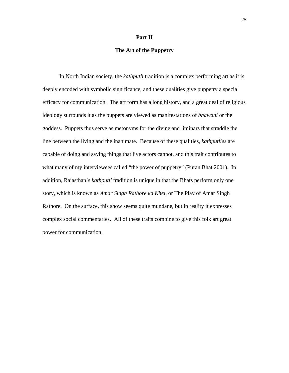#### **Part II**

## **The Art of the Puppetry**

In North Indian society, the *kathputli* tradition is a complex performing art as it is deeply encoded with symbolic significance, and these qualities give puppetry a special efficacy for communication. The art form has a long history, and a great deal of religious ideology surrounds it as the puppets are viewed as manifestations of *bhawani* or the goddess. Puppets thus serve as metonyms for the divine and liminars that straddle the line between the living and the inanimate. Because of these qualities, *kathputlies* are capable of doing and saying things that live actors cannot, and this trait contributes to what many of my interviewees called "the power of puppetry" (Puran Bhat 2001). In addition, Rajasthan's *kathputli* tradition is unique in that the Bhats perform only one story, which is known as *Amar Singh Rathore ka Khel*, or The Play of Amar Singh Rathore. On the surface, this show seems quite mundane, but in reality it expresses complex social commentaries. All of these traits combine to give this folk art great power for communication.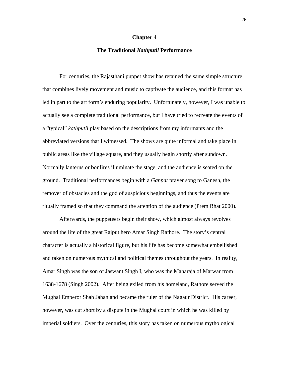#### **Chapter 4**

## **The Traditional** *Kathputli* **Performance**

For centuries, the Rajasthani puppet show has retained the same simple structure that combines lively movement and music to captivate the audience, and this format has led in part to the art form's enduring popularity. Unfortunately, however, I was unable to actually see a complete traditional performance, but I have tried to recreate the events of a "typical" *kathputli* play based on the descriptions from my informants and the abbreviated versions that I witnessed. The shows are quite informal and take place in public areas like the village square, and they usually begin shortly after sundown. Normally lanterns or bonfires illuminate the stage, and the audience is seated on the ground. Traditional performances begin with a *Ganpat* prayer song to Ganesh, the remover of obstacles and the god of auspicious beginnings, and thus the events are ritually framed so that they command the attention of the audience (Prem Bhat 2000).

Afterwards, the puppeteers begin their show, which almost always revolves around the life of the great Rajput hero Amar Singh Rathore. The story's central character is actually a historical figure, but his life has become somewhat embellished and taken on numerous mythical and political themes throughout the years. In reality, Amar Singh was the son of Jaswant Singh I, who was the Maharaja of Marwar from 1638-1678 (Singh 2002). After being exiled from his homeland, Rathore served the Mughal Emperor Shah Jahan and became the ruler of the Nagaur District. His career, however, was cut short by a dispute in the Mughal court in which he was killed by imperial soldiers. Over the centuries, this story has taken on numerous mythological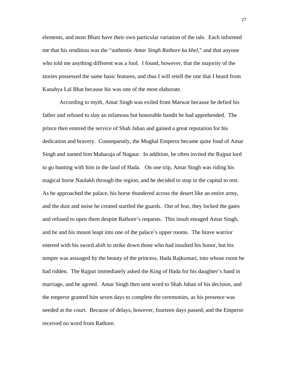elements, and most Bhats have their own particular variation of the tale. Each informed me that his rendition was the "authentic *Amar Singh Rathore ka khel*," and that anyone who told me anything different was a fool. I found, however, that the majority of the stories possessed the same basic features, and thus I will retell the one that I heard from Kanahya Lal Bhat because his was one of the most elaborate.

According to myth, Amar Singh was exiled from Marwar because he defied his father and refused to slay an infamous but honorable bandit he had apprehended. The prince then entered the service of Shah Jahan and gained a great reputation for his dedication and bravery. Consequently, the Mughal Emperor became quite fond of Amar Singh and named him Maharaja of Nagaur. In addition, he often invited the Rajput lord to go hunting with him in the land of Hada. On one trip, Amar Singh was riding his magical horse Naulakh through the region, and he decided to stop in the capital to rest. As he approached the palace, his horse thundered across the desert like an entire army, and the dust and noise he created startled the guards. Out of fear, they locked the gates and refused to open them despite Rathore's requests. This insult enraged Amar Singh, and he and his mount leapt into one of the palace's upper rooms. The brave warrior entered with his sword aloft to strike down those who had insulted his honor, but his temper was assuaged by the beauty of the princess, Hada Rajkumari, into whose room he had ridden. The Rajput immediately asked the King of Hada for his daughter's hand in marriage, and he agreed. Amar Singh then sent word to Shah Jahan of his decision, and the emperor granted him seven days to complete the ceremonies, as his presence was needed at the court. Because of delays, however, fourteen days passed, and the Emperor received no word from Rathore.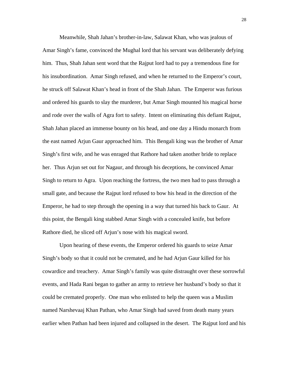Meanwhile, Shah Jahan's brother-in-law, Salawat Khan, who was jealous of Amar Singh's fame, convinced the Mughal lord that his servant was deliberately defying him. Thus, Shah Jahan sent word that the Rajput lord had to pay a tremendous fine for his insubordination. Amar Singh refused, and when he returned to the Emperor's court, he struck off Salawat Khan's head in front of the Shah Jahan. The Emperor was furious and ordered his guards to slay the murderer, but Amar Singh mounted his magical horse and rode over the walls of Agra fort to safety. Intent on eliminating this defiant Rajput, Shah Jahan placed an immense bounty on his head, and one day a Hindu monarch from the east named Arjun Gaur approached him. This Bengali king was the brother of Amar Singh's first wife, and he was enraged that Rathore had taken another bride to replace her. Thus Arjun set out for Nagaur, and through his deceptions, he convinced Amar Singh to return to Agra. Upon reaching the fortress, the two men had to pass through a small gate, and because the Rajput lord refused to bow his head in the direction of the Emperor, he had to step through the opening in a way that turned his back to Gaur. At this point, the Bengali king stabbed Amar Singh with a concealed knife, but before Rathore died, he sliced off Arjun's nose with his magical sword.

Upon hearing of these events, the Emperor ordered his guards to seize Amar Singh's body so that it could not be cremated, and he had Arjun Gaur killed for his cowardice and treachery. Amar Singh's family was quite distraught over these sorrowful events, and Hada Rani began to gather an army to retrieve her husband's body so that it could be cremated properly. One man who enlisted to help the queen was a Muslim named Narshevaaj Khan Pathan, who Amar Singh had saved from death many years earlier when Pathan had been injured and collapsed in the desert. The Rajput lord and his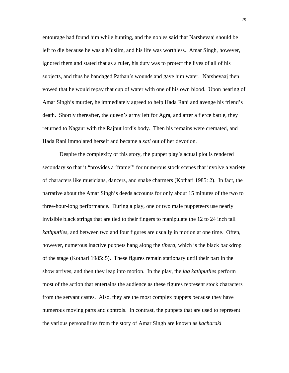entourage had found him while hunting, and the nobles said that Narshevaaj should be left to die because he was a Muslim, and his life was worthless. Amar Singh, however, ignored them and stated that as a ruler, his duty was to protect the lives of all of his subjects, and thus he bandaged Pathan's wounds and gave him water. Narshevaaj then vowed that he would repay that cup of water with one of his own blood. Upon hearing of Amar Singh's murder, he immediately agreed to help Hada Rani and avenge his friend's death. Shortly thereafter, the queen's army left for Agra, and after a fierce battle, they returned to Nagaur with the Rajput lord's body. Then his remains were cremated, and Hada Rani immolated herself and became a *sati* out of her devotion.

Despite the complexity of this story, the puppet play's actual plot is rendered secondary so that it "provides a 'frame'" for numerous stock scenes that involve a variety of characters like musicians, dancers, and snake charmers (Kothari 1985: 2). In fact, the narrative about the Amar Singh's deeds accounts for only about 15 minutes of the two to three-hour-long performance. During a play, one or two male puppeteers use nearly invisible black strings that are tied to their fingers to manipulate the 12 to 24 inch tall *kathputlies*, and between two and four figures are usually in motion at one time. Often, however, numerous inactive puppets hang along the *tibera*, which is the black backdrop of the stage (Kothari 1985: 5). These figures remain stationary until their part in the show arrives, and then they leap into motion. In the play, the *lag kathputlies* perform most of the action that entertains the audience as these figures represent stock characters from the servant castes. Also, they are the most complex puppets because they have numerous moving parts and controls. In contrast, the puppets that are used to represent the various personalities from the story of Amar Singh are known as *kacharaki*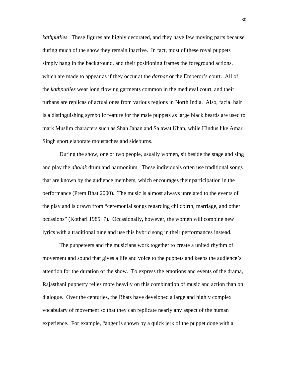*kathputlies*. These figures are highly decorated, and they have few moving parts because during much of the show they remain inactive. In fact, most of these royal puppets simply hang in the background, and their positioning frames the foreground actions, which are made to appear as if they occur at the *darbar* or the Emperor's court. All of the *kathputlies* wear long flowing garments common in the medieval court, and their turbans are replicas of actual ones from various regions in North India. Also, facial hair is a distinguishing symbolic feature for the male puppets as large black beards are used to mark Muslim characters such as Shah Jahan and Salawat Khan, while Hindus like Amar Singh sport elaborate moustaches and sideburns.

During the show, one or two people, usually women, sit beside the stage and sing and play the *dholak* drum and harmonium. These individuals often use traditional songs that are known by the audience members, which encourages their participation in the performance (Prem Bhat 2000). The music is almost always unrelated to the events of the play and is drawn from "ceremonial songs regarding childbirth, marriage, and other occasions" (Kothari 1985: 7). Occasionally, however, the women will combine new lyrics with a traditional tune and use this hybrid song in their performances instead.

The puppeteers and the musicians work together to create a united rhythm of movement and sound that gives a life and voice to the puppets and keeps the audience's attention for the duration of the show. To express the emotions and events of the drama, Rajasthani puppetry relies more heavily on this combination of music and action than on dialogue. Over the centuries, the Bhats have developed a large and highly complex vocabulary of movement so that they can replicate nearly any aspect of the human experience. For example, "anger is shown by a quick jerk of the puppet done with a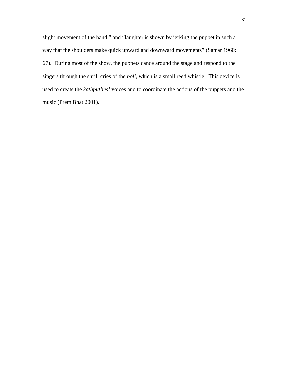slight movement of the hand," and "laughter is shown by jerking the puppet in such a way that the shoulders make quick upward and downward movements" (Samar 1960: 67). During most of the show, the puppets dance around the stage and respond to the singers through the shrill cries of the *boli*, which is a small reed whistle. This device is used to create the *kathputlies'* voices and to coordinate the actions of the puppets and the music (Prem Bhat 2001).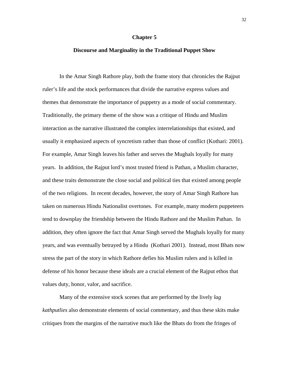#### **Chapter 5**

## **Discourse and Marginality in the Traditional Puppet Show**

In the Amar Singh Rathore play, both the frame story that chronicles the Rajput ruler's life and the stock performances that divide the narrative express values and themes that demonstrate the importance of puppetry as a mode of social commentary. Traditionally, the primary theme of the show was a critique of Hindu and Muslim interaction as the narrative illustrated the complex interrelationships that existed, and usually it emphasized aspects of syncretism rather than those of conflict (Kothari: 2001). For example, Amar Singh leaves his father and serves the Mughals loyally for many years. In addition, the Rajput lord's most trusted friend is Pathan, a Muslim character, and these traits demonstrate the close social and political ties that existed among people of the two religions. In recent decades, however, the story of Amar Singh Rathore has taken on numerous Hindu Nationalist overtones. For example, many modern puppeteers tend to downplay the friendship between the Hindu Rathore and the Muslim Pathan. In addition, they often ignore the fact that Amar Singh served the Mughals loyally for many years, and was eventually betrayed by a Hindu (Kothari 2001). Instead, most Bhats now stress the part of the story in which Rathore defies his Muslim rulers and is killed in defense of his honor because these ideals are a crucial element of the Rajput ethos that values duty, honor, valor, and sacrifice.

Many of the extensive stock scenes that are performed by the lively *lag kathputlies* also demonstrate elements of social commentary, and thus these skits make critiques from the margins of the narrative much like the Bhats do from the fringes of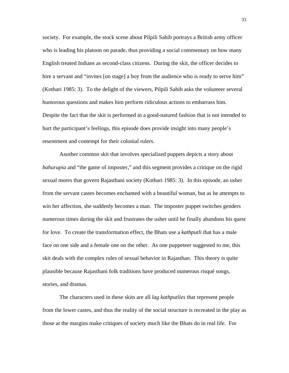society. For example, the stock scene about Pilpili Sahib portrays a British army officer who is leading his platoon on parade, thus providing a social commentary on how many English treated Indians as second-class citizens. During the skit, the officer decides to hire a servant and "invites [on stage] a boy from the audience who is ready to serve him" (Kothari 1985: 3). To the delight of the viewers, Pilpili Sahib asks the volunteer several humorous questions and makes him perform ridiculous actions to embarrass him. Despite the fact that the skit is performed in a good-natured fashion that is not intended to hurt the participant's feelings, this episode does provide insight into many people's resentment and contempt for their colonial rulers.

Another common skit that involves specialized puppets depicts a story about *bahurupia* and "the game of imposter," and this segment provides a critique on the rigid sexual mores that govern Rajasthani society (Kothari 1985: 3). In this episode, an usher from the servant castes becomes enchanted with a beautiful woman, but as he attempts to win her affection, she suddenly becomes a man. The imposter puppet switches genders numerous times during the skit and frustrates the usher until he finally abandons his quest for love. To create the transformation effect, the Bhats use a *kathputli* that has a male face on one side and a female one on the other. As one puppeteer suggested to me, this skit deals with the complex rules of sexual behavior in Rajasthan. This theory is quite plausible because Rajasthani folk traditions have produced numerous risqué songs, stories, and dramas.

The characters used in these skits are all *lag kathputlies* that represent people from the lower castes, and thus the reality of the social structure is recreated in the play as those at the margins make critiques of society much like the Bhats do in real life. For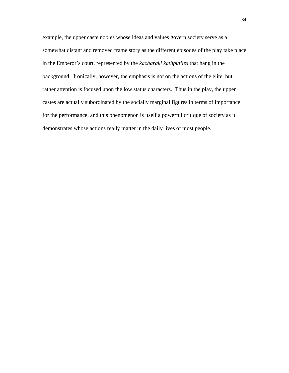example, the upper caste nobles whose ideas and values govern society serve as a somewhat distant and removed frame story as the different episodes of the play take place in the Emperor's court, represented by the *kacharaki kathputlies* that hang in the background. Ironically, however, the emphasis is not on the actions of the elite, but rather attention is focused upon the low status characters. Thus in the play, the upper castes are actually subordinated by the socially marginal figures in terms of importance for the performance, and this phenomenon is itself a powerful critique of society as it demonstrates whose actions really matter in the daily lives of most people.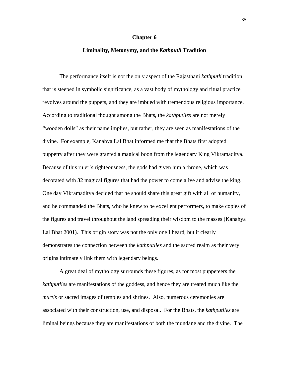#### **Chapter 6**

## **Liminality, Metonymy, and the** *Kathputli* **Tradition**

The performance itself is not the only aspect of the Rajasthani *kathputli* tradition that is steeped in symbolic significance, as a vast body of mythology and ritual practice revolves around the puppets, and they are imbued with tremendous religious importance. According to traditional thought among the Bhats, the *kathputlies* are not merely "wooden dolls" as their name implies, but rather, they are seen as manifestations of the divine. For example, Kanahya Lal Bhat informed me that the Bhats first adopted puppetry after they were granted a magical boon from the legendary King Vikramaditya. Because of this ruler's righteousness, the gods had given him a throne, which was decorated with 32 magical figures that had the power to come alive and advise the king. One day Vikramaditya decided that he should share this great gift with all of humanity, and he commanded the Bhats, who he knew to be excellent performers, to make copies of the figures and travel throughout the land spreading their wisdom to the masses (Kanahya Lal Bhat 2001). This origin story was not the only one I heard, but it clearly demonstrates the connection between the *kathputlies* and the sacred realm as their very origins intimately link them with legendary beings.

A great deal of mythology surrounds these figures, as for most puppeteers the *kathputlies* are manifestations of the goddess, and hence they are treated much like the *murtis* or sacred images of temples and shrines. Also, numerous ceremonies are associated with their construction, use, and disposal. For the Bhats, the *kathputlies* are liminal beings because they are manifestations of both the mundane and the divine. The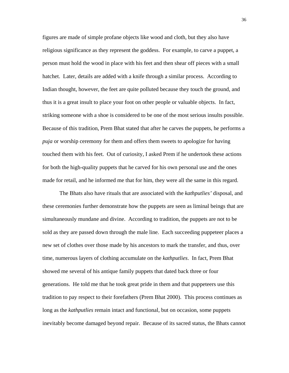figures are made of simple profane objects like wood and cloth, but they also have religious significance as they represent the goddess. For example, to carve a puppet, a person must hold the wood in place with his feet and then shear off pieces with a small hatchet. Later, details are added with a knife through a similar process. According to Indian thought, however, the feet are quite polluted because they touch the ground, and thus it is a great insult to place your foot on other people or valuable objects. In fact, striking someone with a shoe is considered to be one of the most serious insults possible. Because of this tradition, Prem Bhat stated that after he carves the puppets, he performs a *puja* or worship ceremony for them and offers them sweets to apologize for having touched them with his feet. Out of curiosity, I asked Prem if he undertook these actions for both the high-quality puppets that he carved for his own personal use and the ones made for retail, and he informed me that for him, they were all the same in this regard.

The Bhats also have rituals that are associated with the *kathputlies'* disposal, and these ceremonies further demonstrate how the puppets are seen as liminal beings that are simultaneously mundane and divine. According to tradition, the puppets are not to be sold as they are passed down through the male line. Each succeeding puppeteer places a new set of clothes over those made by his ancestors to mark the transfer, and thus, over time, numerous layers of clothing accumulate on the *kathputlies*. In fact, Prem Bhat showed me several of his antique family puppets that dated back three or four generations. He told me that he took great pride in them and that puppeteers use this tradition to pay respect to their forefathers (Prem Bhat 2000). This process continues as long as the *kathputlies* remain intact and functional, but on occasion, some puppets inevitably become damaged beyond repair. Because of its sacred status, the Bhats cannot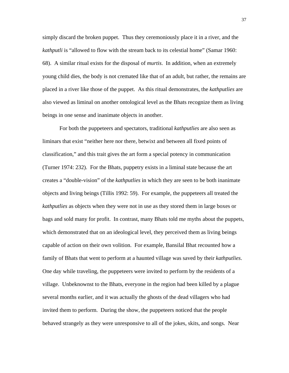simply discard the broken puppet. Thus they ceremoniously place it in a river, and the *kathputli* is "allowed to flow with the stream back to its celestial home" (Samar 1960: 68). A similar ritual exists for the disposal of *murtis*. In addition, when an extremely young child dies, the body is not cremated like that of an adult, but rather, the remains are placed in a river like those of the puppet. As this ritual demonstrates, the *kathputlies* are also viewed as liminal on another ontological level as the Bhats recognize them as living beings in one sense and inanimate objects in another.

For both the puppeteers and spectators, traditional *kathputlies* are also seen as liminars that exist "neither here nor there, betwixt and between all fixed points of classification," and this trait gives the art form a special potency in communication (Turner 1974: 232). For the Bhats, puppetry exists in a liminal state because the art creates a "double-vision" of the *kathputlies* in which they are seen to be both inanimate objects and living beings (Tillis 1992: 59). For example, the puppeteers all treated the *kathputlies* as objects when they were not in use as they stored them in large boxes or bags and sold many for profit. In contrast, many Bhats told me myths about the puppets, which demonstrated that on an ideological level, they perceived them as living beings capable of action on their own volition. For example, Bansilal Bhat recounted how a family of Bhats that went to perform at a haunted village was saved by their *kathputlies*. One day while traveling, the puppeteers were invited to perform by the residents of a village. Unbeknownst to the Bhats, everyone in the region had been killed by a plague several months earlier, and it was actually the ghosts of the dead villagers who had invited them to perform. During the show, the puppeteers noticed that the people behaved strangely as they were unresponsive to all of the jokes, skits, and songs. Near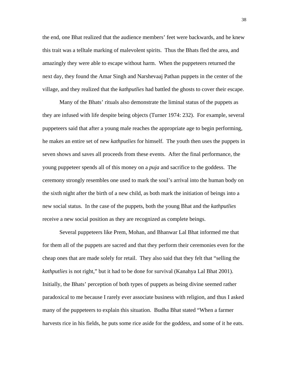the end, one Bhat realized that the audience members' feet were backwards, and he knew this trait was a telltale marking of malevolent spirits. Thus the Bhats fled the area, and amazingly they were able to escape without harm. When the puppeteers returned the next day, they found the Amar Singh and Narshevaaj Pathan puppets in the center of the village, and they realized that the *kathputlies* had battled the ghosts to cover their escape.

Many of the Bhats' rituals also demonstrate the liminal status of the puppets as they are infused with life despite being objects (Turner 1974: 232). For example, several puppeteers said that after a young male reaches the appropriate age to begin performing, he makes an entire set of new *kathputlies* for himself. The youth then uses the puppets in seven shows and saves all proceeds from these events. After the final performance, the young puppeteer spends all of this money on a *puja* and sacrifice to the goddess. The ceremony strongly resembles one used to mark the soul's arrival into the human body on the sixth night after the birth of a new child, as both mark the initiation of beings into a new social status. In the case of the puppets, both the young Bhat and the *kathputlies* receive a new social position as they are recognized as complete beings.

Several puppeteers like Prem, Mohan, and Bhanwar Lal Bhat informed me that for them all of the puppets are sacred and that they perform their ceremonies even for the cheap ones that are made solely for retail. They also said that they felt that "selling the *kathputlies* is not right," but it had to be done for survival (Kanahya Lal Bhat 2001). Initially, the Bhats' perception of both types of puppets as being divine seemed rather paradoxical to me because I rarely ever associate business with religion, and thus I asked many of the puppeteers to explain this situation. Budha Bhat stated "When a farmer harvests rice in his fields, he puts some rice aside for the goddess, and some of it he eats.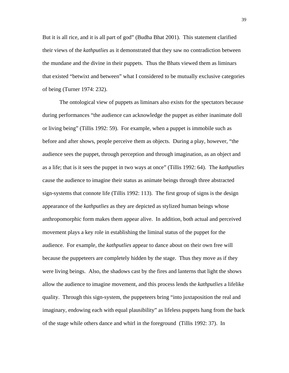But it is all rice, and it is all part of god" (Budha Bhat 2001). This statement clarified their views of the *kathputlies* as it demonstrated that they saw no contradiction between the mundane and the divine in their puppets. Thus the Bhats viewed them as liminars that existed "betwixt and between" what I considered to be mutually exclusive categories of being (Turner 1974: 232).

The ontological view of puppets as liminars also exists for the spectators because during performances "the audience can acknowledge the puppet as either inanimate doll or living being" (Tillis 1992: 59). For example, when a puppet is immobile such as before and after shows, people perceive them as objects. During a play, however, "the audience sees the puppet, through perception and through imagination, as an object and as a life; that is it sees the puppet in two ways at once" (Tillis 1992: 64). The *kathputlies* cause the audience to imagine their status as animate beings through three abstracted sign-systems that connote life (Tillis 1992: 113). The first group of signs is the design appearance of the *kathputlies* as they are depicted as stylized human beings whose anthropomorphic form makes them appear alive. In addition, both actual and perceived movement plays a key role in establishing the liminal status of the puppet for the audience. For example, the *kathputlies* appear to dance about on their own free will because the puppeteers are completely hidden by the stage. Thus they move as if they were living beings. Also, the shadows cast by the fires and lanterns that light the shows allow the audience to imagine movement, and this process lends the *kathputlies* a lifelike quality. Through this sign-system, the puppeteers bring "into juxtaposition the real and imaginary, endowing each with equal plausibility" as lifeless puppets hang from the back of the stage while others dance and whirl in the foreground (Tillis 1992: 37). In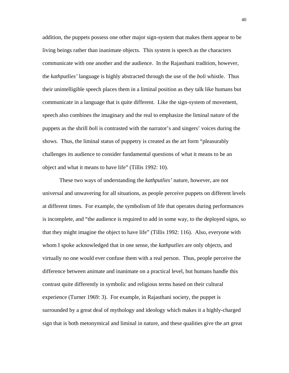addition, the puppets possess one other major sign-system that makes them appear to be living beings rather than inanimate objects. This system is speech as the characters communicate with one another and the audience. In the Rajasthani tradition, however, the *kathputlies'* language is highly abstracted through the use of the *boli* whistle. Thus their unintelligible speech places them in a liminal position as they talk like humans but communicate in a language that is quite different. Like the sign-system of movement, speech also combines the imaginary and the real to emphasize the liminal nature of the puppets as the shrill *boli* is contrasted with the narrator's and singers' voices during the shows. Thus, the liminal status of puppetry is created as the art form "pleasurably challenges its audience to consider fundamental questions of what it means to be an object and what it means to have life" (Tillis 1992: 10).

These two ways of understanding the *kathputlies'* nature, however, are not universal and unwavering for all situations, as people perceive puppets on different levels at different times. For example, the symbolism of life that operates during performances is incomplete, and "the audience is required to add in some way, to the deployed signs, so that they might imagine the object to have life" (Tillis 1992: 116). Also, everyone with whom I spoke acknowledged that in one sense, the *kathputlies* are only objects, and virtually no one would ever confuse them with a real person. Thus, people perceive the difference between animate and inanimate on a practical level, but humans handle this contrast quite differently in symbolic and religious terms based on their cultural experience (Turner 1969: 3). For example, in Rajasthani society, the puppet is surrounded by a great deal of mythology and ideology which makes it a highly-charged sign that is both metonymical and liminal in nature, and these qualities give the art great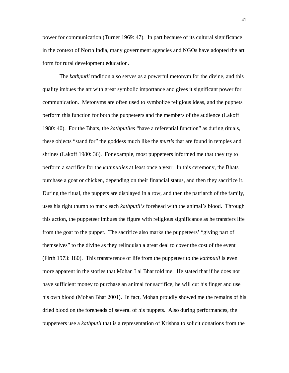power for communication (Turner 1969: 47). In part because of its cultural significance in the context of North India, many government agencies and NGOs have adopted the art form for rural development education.

The *kathputli* tradition also serves as a powerful metonym for the divine, and this quality imbues the art with great symbolic importance and gives it significant power for communication. Metonyms are often used to symbolize religious ideas, and the puppets perform this function for both the puppeteers and the members of the audience (Lakoff 1980: 40). For the Bhats, the *kathputlies* "have a referential function" as during rituals, these objects "stand for" the goddess much like the *murtis* that are found in temples and shrines (Lakoff 1980: 36). For example, most puppeteers informed me that they try to perform a sacrifice for the *kathputlies* at least once a year. In this ceremony, the Bhats purchase a goat or chicken, depending on their financial status, and then they sacrifice it. During the ritual, the puppets are displayed in a row, and then the patriarch of the family, uses his right thumb to mark each *kathputli's* forehead with the animal's blood. Through this action, the puppeteer imbues the figure with religious significance as he transfers life from the goat to the puppet. The sacrifice also marks the puppeteers' "giving part of themselves" to the divine as they relinquish a great deal to cover the cost of the event (Firth 1973: 180). This transference of life from the puppeteer to the *kathputli* is even more apparent in the stories that Mohan Lal Bhat told me. He stated that if he does not have sufficient money to purchase an animal for sacrifice, he will cut his finger and use his own blood (Mohan Bhat 2001). In fact, Mohan proudly showed me the remains of his dried blood on the foreheads of several of his puppets. Also during performances, the puppeteers use a *kathputli* that is a representation of Krishna to solicit donations from the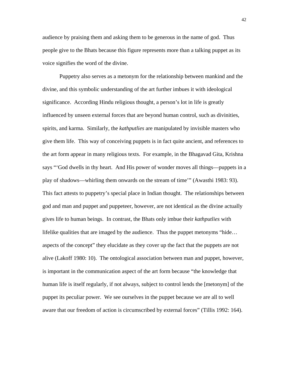audience by praising them and asking them to be generous in the name of god. Thus people give to the Bhats because this figure represents more than a talking puppet as its voice signifies the word of the divine.

Puppetry also serves as a metonym for the relationship between mankind and the divine, and this symbolic understanding of the art further imbues it with ideological significance. According Hindu religious thought, a person's lot in life is greatly influenced by unseen external forces that are beyond human control, such as divinities, spirits, and karma. Similarly, the *kathputlies* are manipulated by invisible masters who give them life. This way of conceiving puppets is in fact quite ancient, and references to the art form appear in many religious texts. For example, in the Bhagavad Gita, Krishna says "'God dwells in thy heart. And His power of wonder moves all things—puppets in a play of shadows—whirling them onwards on the stream of time'" (Awasthi 1983: 93). This fact attests to puppetry's special place in Indian thought. The relationships between god and man and puppet and puppeteer, however, are not identical as the divine actually gives life to human beings. In contrast, the Bhats only imbue their *kathputlies* with lifelike qualities that are imaged by the audience. Thus the puppet metonyms "hide… aspects of the concept" they elucidate as they cover up the fact that the puppets are not alive (Lakoff 1980: 10). The ontological association between man and puppet, however, is important in the communication aspect of the art form because "the knowledge that human life is itself regularly, if not always, subject to control lends the [metonym] of the puppet its peculiar power. We see ourselves in the puppet because we are all to well aware that our freedom of action is circumscribed by external forces" (Tillis 1992: 164).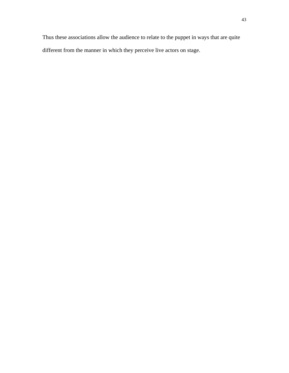Thus these associations allow the audience to relate to the puppet in ways that are quite different from the manner in which they perceive live actors on stage.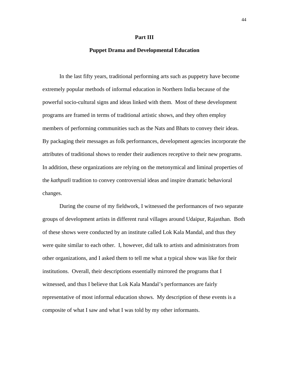#### **Part III**

## **Puppet Drama and Developmental Education**

In the last fifty years, traditional performing arts such as puppetry have become extremely popular methods of informal education in Northern India because of the powerful socio-cultural signs and ideas linked with them. Most of these development programs are framed in terms of traditional artistic shows, and they often employ members of performing communities such as the Nats and Bhats to convey their ideas. By packaging their messages as folk performances, development agencies incorporate the attributes of traditional shows to render their audiences receptive to their new programs. In addition, these organizations are relying on the metonymical and liminal properties of the *kathputli* tradition to convey controversial ideas and inspire dramatic behavioral changes.

During the course of my fieldwork, I witnessed the performances of two separate groups of development artists in different rural villages around Udaipur, Rajasthan. Both of these shows were conducted by an institute called Lok Kala Mandal, and thus they were quite similar to each other. I, however, did talk to artists and administrators from other organizations, and I asked them to tell me what a typical show was like for their institutions. Overall, their descriptions essentially mirrored the programs that I witnessed, and thus I believe that Lok Kala Mandal's performances are fairly representative of most informal education shows. My description of these events is a composite of what I saw and what I was told by my other informants.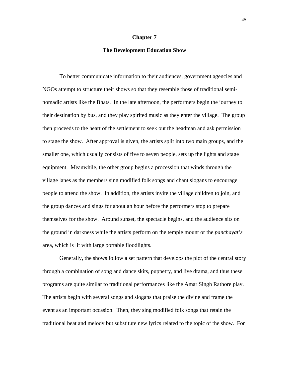## **Chapter 7**

## **The Development Education Show**

To better communicate information to their audiences, government agencies and NGOs attempt to structure their shows so that they resemble those of traditional seminomadic artists like the Bhats. In the late afternoon, the performers begin the journey to their destination by bus, and they play spirited music as they enter the village. The group then proceeds to the heart of the settlement to seek out the headman and ask permission to stage the show. After approval is given, the artists split into two main groups, and the smaller one, which usually consists of five to seven people, sets up the lights and stage equipment. Meanwhile, the other group begins a procession that winds through the village lanes as the members sing modified folk songs and chant slogans to encourage people to attend the show. In addition, the artists invite the village children to join, and the group dances and sings for about an hour before the performers stop to prepare themselves for the show. Around sunset, the spectacle begins, and the audience sits on the ground in darkness while the artists perform on the temple mount or the *panchayat's* area, which is lit with large portable floodlights.

Generally, the shows follow a set pattern that develops the plot of the central story through a combination of song and dance skits, puppetry, and live drama, and thus these programs are quite similar to traditional performances like the Amar Singh Rathore play. The artists begin with several songs and slogans that praise the divine and frame the event as an important occasion. Then, they sing modified folk songs that retain the traditional beat and melody but substitute new lyrics related to the topic of the show. For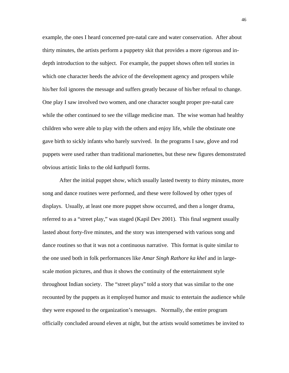example, the ones I heard concerned pre-natal care and water conservation. After about thirty minutes, the artists perform a puppetry skit that provides a more rigorous and indepth introduction to the subject. For example, the puppet shows often tell stories in which one character heeds the advice of the development agency and prospers while his/her foil ignores the message and suffers greatly because of his/her refusal to change. One play I saw involved two women, and one character sought proper pre-natal care while the other continued to see the village medicine man. The wise woman had healthy children who were able to play with the others and enjoy life, while the obstinate one gave birth to sickly infants who barely survived. In the programs I saw, glove and rod puppets were used rather than traditional marionettes, but these new figures demonstrated obvious artistic links to the old *kathputli* forms.

After the initial puppet show, which usually lasted twenty to thirty minutes, more song and dance routines were performed, and these were followed by other types of displays. Usually, at least one more puppet show occurred, and then a longer drama, referred to as a "street play," was staged (Kapil Dev 2001). This final segment usually lasted about forty-five minutes, and the story was interspersed with various song and dance routines so that it was not a continuous narrative. This format is quite similar to the one used both in folk performances like *Amar Singh Rathore ka khel* and in largescale motion pictures, and thus it shows the continuity of the entertainment style throughout Indian society. The "street plays" told a story that was similar to the one recounted by the puppets as it employed humor and music to entertain the audience while they were exposed to the organization's messages. Normally, the entire program officially concluded around eleven at night, but the artists would sometimes be invited to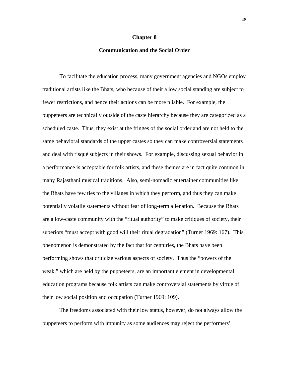#### **Chapter 8**

## **Communication and the Social Order**

To facilitate the education process, many government agencies and NGOs employ traditional artists like the Bhats, who because of their a low social standing are subject to fewer restrictions, and hence their actions can be more pliable. For example, the puppeteers are technically outside of the caste hierarchy because they are categorized as a scheduled caste. Thus, they exist at the fringes of the social order and are not held to the same behavioral standards of the upper castes so they can make controversial statements and deal with risqué subjects in their shows. For example, discussing sexual behavior in a performance is acceptable for folk artists, and these themes are in fact quite common in many Rajasthani musical traditions. Also, semi-nomadic entertainer communities like the Bhats have few ties to the villages in which they perform, and thus they can make potentially volatile statements without fear of long-term alienation. Because the Bhats are a low-caste community with the "ritual authority" to make critiques of society, their superiors "must accept with good will their ritual degradation" (Turner 1969: 167). This phenomenon is demonstrated by the fact that for centuries, the Bhats have been performing shows that criticize various aspects of society. Thus the "powers of the weak," which are held by the puppeteers, are an important element in developmental education programs because folk artists can make controversial statements by virtue of their low social position and occupation (Turner 1969: 109).

The freedoms associated with their low status, however, do not always allow the puppeteers to perform with impunity as some audiences may reject the performers'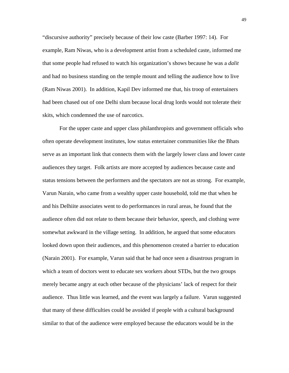"discursive authority" precisely because of their low caste (Barber 1997: 14). For example, Ram Niwas, who is a development artist from a scheduled caste, informed me that some people had refused to watch his organization's shows because he was a *dalit* and had no business standing on the temple mount and telling the audience how to live (Ram Niwas 2001). In addition, Kapil Dev informed me that, his troop of entertainers had been chased out of one Delhi slum because local drug lords would not tolerate their skits, which condemned the use of narcotics.

For the upper caste and upper class philanthropists and government officials who often operate development institutes, low status entertainer communities like the Bhats serve as an important link that connects them with the largely lower class and lower caste audiences they target. Folk artists are more accepted by audiences because caste and status tensions between the performers and the spectators are not as strong. For example, Varun Narain, who came from a wealthy upper caste household, told me that when he and his Delhiite associates went to do performances in rural areas, he found that the audience often did not relate to them because their behavior, speech, and clothing were somewhat awkward in the village setting. In addition, he argued that some educators looked down upon their audiences, and this phenomenon created a barrier to education (Narain 2001). For example, Varun said that he had once seen a disastrous program in which a team of doctors went to educate sex workers about STDs, but the two groups merely became angry at each other because of the physicians' lack of respect for their audience. Thus little was learned, and the event was largely a failure. Varun suggested that many of these difficulties could be avoided if people with a cultural background similar to that of the audience were employed because the educators would be in the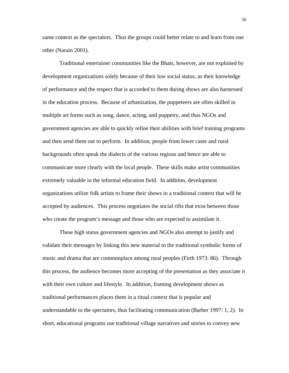same context as the spectators. Thus the groups could better relate to and learn from one other (Narain 2001).

Traditional entertainer communities like the Bhats, however, are not exploited by development organizations solely because of their low social status, as their knowledge of performance and the respect that is accorded to them during shows are also harnessed in the education process. Because of urbanization, the puppeteers are often skilled in multiple art forms such as song, dance, acting, and puppetry, and thus NGOs and government agencies are able to quickly refine their abilities with brief training programs and then send them out to perform. In addition, people from lower caste and rural backgrounds often speak the dialects of the various regions and hence are able to communicate more clearly with the local people. These skills make artist communities extremely valuable in the informal education field. In addition, development organizations utilize folk artists to frame their shows in a traditional context that will be accepted by audiences. This process negotiates the social rifts that exist between those who create the program's message and those who are expected to assimilate it.

These high status government agencies and NGOs also attempt to justify and validate their messages by linking this new material to the traditional symbolic forms of music and drama that are commonplace among rural peoples (Firth 1973: 86). Through this process, the audience becomes more accepting of the presentation as they associate it with their own culture and lifestyle. In addition, framing development shows as traditional performances places them in a ritual context that is popular and understandable to the spectators, thus facilitating communication (Barber 1997: 1, 2). In short, educational programs use traditional village narratives and stories to convey new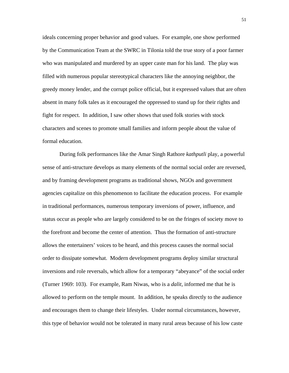ideals concerning proper behavior and good values. For example, one show performed by the Communication Team at the SWRC in Tilonia told the true story of a poor farmer who was manipulated and murdered by an upper caste man for his land. The play was filled with numerous popular stereotypical characters like the annoying neighbor, the greedy money lender, and the corrupt police official, but it expressed values that are often absent in many folk tales as it encouraged the oppressed to stand up for their rights and fight for respect. In addition, I saw other shows that used folk stories with stock characters and scenes to promote small families and inform people about the value of formal education.

During folk performances like the Amar Singh Rathore *kathputli* play, a powerful sense of anti-structure develops as many elements of the normal social order are reversed, and by framing development programs as traditional shows, NGOs and government agencies capitalize on this phenomenon to facilitate the education process. For example in traditional performances, numerous temporary inversions of power, influence, and status occur as people who are largely considered to be on the fringes of society move to the forefront and become the center of attention. Thus the formation of anti-structure allows the entertainers' voices to be heard, and this process causes the normal social order to dissipate somewhat. Modern development programs deploy similar structural inversions and role reversals, which allow for a temporary "abeyance" of the social order (Turner 1969: 103). For example, Ram Niwas, who is a *dalit*, informed me that he is allowed to perform on the temple mount. In addition, he speaks directly to the audience and encourages them to change their lifestyles. Under normal circumstances, however, this type of behavior would not be tolerated in many rural areas because of his low caste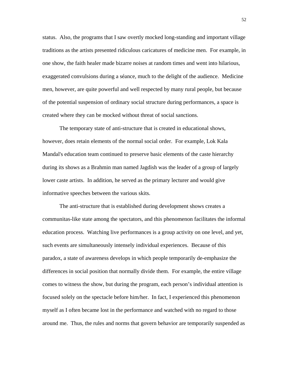status. Also, the programs that I saw overtly mocked long-standing and important village traditions as the artists presented ridiculous caricatures of medicine men. For example, in one show, the faith healer made bizarre noises at random times and went into hilarious, exaggerated convulsions during a séance, much to the delight of the audience. Medicine men, however, are quite powerful and well respected by many rural people, but because of the potential suspension of ordinary social structure during performances, a space is created where they can be mocked without threat of social sanctions.

The temporary state of anti-structure that is created in educational shows, however, does retain elements of the normal social order. For example, Lok Kala Mandal's education team continued to preserve basic elements of the caste hierarchy during its shows as a Brahmin man named Jagdish was the leader of a group of largely lower caste artists. In addition, he served as the primary lecturer and would give informative speeches between the various skits.

The anti-structure that is established during development shows creates a communitas-like state among the spectators, and this phenomenon facilitates the informal education process. Watching live performances is a group activity on one level, and yet, such events are simultaneously intensely individual experiences. Because of this paradox, a state of awareness develops in which people temporarily de-emphasize the differences in social position that normally divide them. For example, the entire village comes to witness the show, but during the program, each person's individual attention is focused solely on the spectacle before him/her. In fact, I experienced this phenomenon myself as I often became lost in the performance and watched with no regard to those around me. Thus, the rules and norms that govern behavior are temporarily suspended as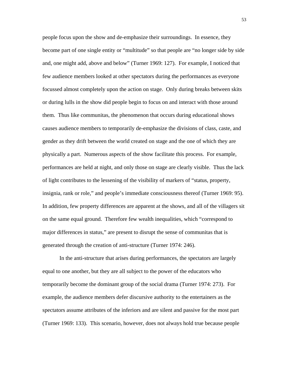people focus upon the show and de-emphasize their surroundings. In essence, they become part of one single entity or "multitude" so that people are "no longer side by side and, one might add, above and below" (Turner 1969: 127). For example, I noticed that few audience members looked at other spectators during the performances as everyone focussed almost completely upon the action on stage. Only during breaks between skits or during lulls in the show did people begin to focus on and interact with those around them. Thus like communitas, the phenomenon that occurs during educational shows causes audience members to temporarily de-emphasize the divisions of class, caste, and gender as they drift between the world created on stage and the one of which they are physically a part. Numerous aspects of the show facilitate this process. For example, performances are held at night, and only those on stage are clearly visible. Thus the lack of light contributes to the lessening of the visibility of markers of "status, property, insignia, rank or role," and people's immediate consciousness thereof (Turner 1969: 95). In addition, few property differences are apparent at the shows, and all of the villagers sit on the same equal ground. Therefore few wealth inequalities, which "correspond to major differences in status," are present to disrupt the sense of communitas that is generated through the creation of anti-structure (Turner 1974: 246).

In the anti-structure that arises during performances, the spectators are largely equal to one another, but they are all subject to the power of the educators who temporarily become the dominant group of the social drama (Turner 1974: 273). For example, the audience members defer discursive authority to the entertainers as the spectators assume attributes of the inferiors and are silent and passive for the most part (Turner 1969: 133). This scenario, however, does not always hold true because people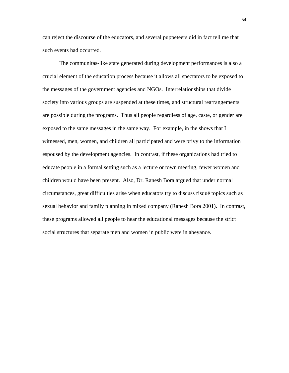can reject the discourse of the educators, and several puppeteers did in fact tell me that such events had occurred.

The communitas-like state generated during development performances is also a crucial element of the education process because it allows all spectators to be exposed to the messages of the government agencies and NGOs. Interrelationships that divide society into various groups are suspended at these times, and structural rearrangements are possible during the programs. Thus all people regardless of age, caste, or gender are exposed to the same messages in the same way. For example, in the shows that I witnessed, men, women, and children all participated and were privy to the information espoused by the development agencies. In contrast, if these organizations had tried to educate people in a formal setting such as a lecture or town meeting, fewer women and children would have been present. Also, Dr. Ranesh Bora argued that under normal circumstances, great difficulties arise when educators try to discuss risqué topics such as sexual behavior and family planning in mixed company (Ranesh Bora 2001). In contrast, these programs allowed all people to hear the educational messages because the strict social structures that separate men and women in public were in abeyance.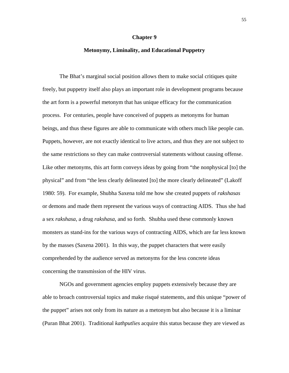#### **Chapter 9**

## **Metonymy, Liminality, and Educational Puppetry**

The Bhat's marginal social position allows them to make social critiques quite freely, but puppetry itself also plays an important role in development programs because the art form is a powerful metonym that has unique efficacy for the communication process. For centuries, people have conceived of puppets as metonyms for human beings, and thus these figures are able to communicate with others much like people can. Puppets, however, are not exactly identical to live actors, and thus they are not subject to the same restrictions so they can make controversial statements without causing offense. Like other metonyms, this art form conveys ideas by going from "the nonphysical [to] the physical" and from "the less clearly delineated [to] the more clearly delineated" (Lakoff 1980: 59). For example, Shubha Saxena told me how she created puppets of *rakshasas* or demons and made them represent the various ways of contracting AIDS. Thus she had a sex *rakshasa*, a drug *rakshasa*, and so forth. Shubha used these commonly known monsters as stand-ins for the various ways of contracting AIDS, which are far less known by the masses (Saxena 2001). In this way, the puppet characters that were easily comprehended by the audience served as metonyms for the less concrete ideas concerning the transmission of the HIV virus.

NGOs and government agencies employ puppets extensively because they are able to broach controversial topics and make risqué statements, and this unique "power of the puppet" arises not only from its nature as a metonym but also because it is a liminar (Puran Bhat 2001). Traditional *kathputlies* acquire this status because they are viewed as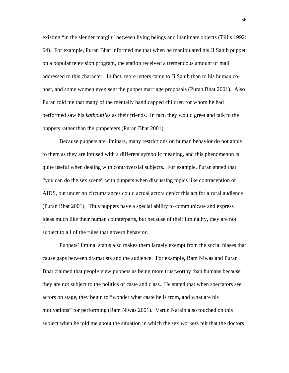existing "in the slender margin" between living beings and inanimate objects (Tillis 1992: 64). For example, Puran Bhat informed me that when he manipulated his Ji Sahib puppet on a popular television program, the station received a tremendous amount of mail addressed to this character. In fact, more letters came to Ji Sahib than to his human cohost, and some women even sent the puppet marriage proposals (Puran Bhat 2001). Also Puran told me that many of the mentally handicapped children for whom he had performed saw his *kathputlies* as their friends. In fact, they would greet and talk to the puppets rather than the puppeteers (Puran Bhat 2001).

Because puppets are liminars, many restrictions on human behavior do not apply to them as they are infused with a different symbolic meaning, and this phenomenon is quite useful when dealing with controversial subjects. For example, Puran stated that "you can do the sex scene" with puppets when discussing topics like contraception or AIDS, but under no circumstances could actual actors depict this act for a rural audience (Puran Bhat 2001). Thus puppets have a special ability to communicate and express ideas much like their human counterparts, but because of their liminality, they are not subject to all of the rules that govern behavior.

Puppets' liminal status also makes them largely exempt from the social biases that cause gaps between dramatists and the audience. For example, Ram Niwas and Puran Bhat claimed that people view puppets as being more trustworthy than humans because they are not subject to the politics of caste and class. He stated that when spectators see actors on stage, they begin to "wonder what caste he is from, and what are his motivations" for performing (Ram Niwas 2001). Varun Narain also touched on this subject when he told me about the situation in which the sex workers felt that the doctors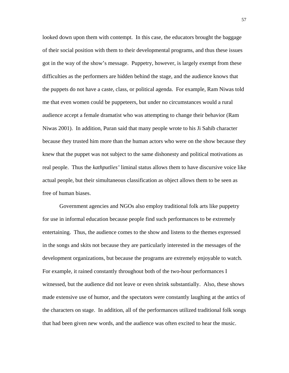looked down upon them with contempt. In this case, the educators brought the baggage of their social position with them to their developmental programs, and thus these issues got in the way of the show's message. Puppetry, however, is largely exempt from these difficulties as the performers are hidden behind the stage, and the audience knows that the puppets do not have a caste, class, or political agenda. For example, Ram Niwas told me that even women could be puppeteers, but under no circumstances would a rural audience accept a female dramatist who was attempting to change their behavior (Ram Niwas 2001). In addition, Puran said that many people wrote to his Ji Sahib character because they trusted him more than the human actors who were on the show because they knew that the puppet was not subject to the same dishonesty and political motivations as real people. Thus the *kathputlies'* liminal status allows them to have discursive voice like actual people, but their simultaneous classification as object allows them to be seen as free of human biases.

Government agencies and NGOs also employ traditional folk arts like puppetry for use in informal education because people find such performances to be extremely entertaining. Thus, the audience comes to the show and listens to the themes expressed in the songs and skits not because they are particularly interested in the messages of the development organizations, but because the programs are extremely enjoyable to watch. For example, it rained constantly throughout both of the two-hour performances I witnessed, but the audience did not leave or even shrink substantially. Also, these shows made extensive use of humor, and the spectators were constantly laughing at the antics of the characters on stage. In addition, all of the performances utilized traditional folk songs that had been given new words, and the audience was often excited to hear the music.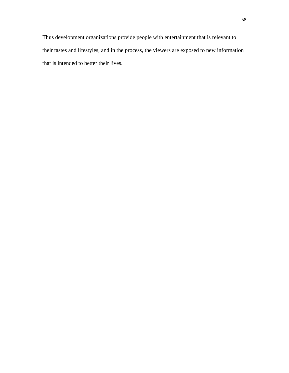Thus development organizations provide people with entertainment that is relevant to their tastes and lifestyles, and in the process, the viewers are exposed to new information that is intended to better their lives.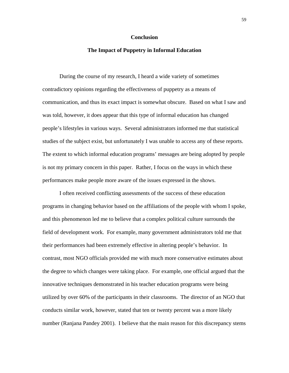#### **Conclusion**

## **The Impact of Puppetry in Informal Education**

During the course of my research, I heard a wide variety of sometimes contradictory opinions regarding the effectiveness of puppetry as a means of communication, and thus its exact impact is somewhat obscure. Based on what I saw and was told, however, it does appear that this type of informal education has changed people's lifestyles in various ways. Several administrators informed me that statistical studies of the subject exist, but unfortunately I was unable to access any of these reports. The extent to which informal education programs' messages are being adopted by people is not my primary concern in this paper. Rather, I focus on the ways in which these performances make people more aware of the issues expressed in the shows.

I often received conflicting assessments of the success of these education programs in changing behavior based on the affiliations of the people with whom I spoke, and this phenomenon led me to believe that a complex political culture surrounds the field of development work. For example, many government administrators told me that their performances had been extremely effective in altering people's behavior. In contrast, most NGO officials provided me with much more conservative estimates about the degree to which changes were taking place. For example, one official argued that the innovative techniques demonstrated in his teacher education programs were being utilized by over 60% of the participants in their classrooms. The director of an NGO that conducts similar work, however, stated that ten or twenty percent was a more likely number (Ranjana Pandey 2001). I believe that the main reason for this discrepancy stems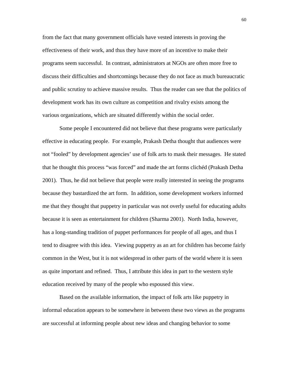from the fact that many government officials have vested interests in proving the effectiveness of their work, and thus they have more of an incentive to make their programs seem successful. In contrast, administrators at NGOs are often more free to discuss their difficulties and shortcomings because they do not face as much bureaucratic and public scrutiny to achieve massive results. Thus the reader can see that the politics of development work has its own culture as competition and rivalry exists among the various organizations, which are situated differently within the social order.

Some people I encountered did not believe that these programs were particularly effective in educating people. For example, Prakash Detha thought that audiences were not "fooled" by development agencies' use of folk arts to mask their messages. He stated that he thought this process "was forced" and made the art forms clichéd (Prakash Detha 2001). Thus, he did not believe that people were really interested in seeing the programs because they bastardized the art form. In addition, some development workers informed me that they thought that puppetry in particular was not overly useful for educating adults because it is seen as entertainment for children (Sharma 2001). North India, however, has a long-standing tradition of puppet performances for people of all ages, and thus I tend to disagree with this idea. Viewing puppetry as an art for children has become fairly common in the West, but it is not widespread in other parts of the world where it is seen as quite important and refined. Thus, I attribute this idea in part to the western style education received by many of the people who espoused this view.

Based on the available information, the impact of folk arts like puppetry in informal education appears to be somewhere in between these two views as the programs are successful at informing people about new ideas and changing behavior to some

60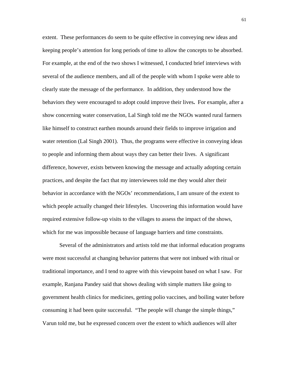extent. These performances do seem to be quite effective in conveying new ideas and keeping people's attention for long periods of time to allow the concepts to be absorbed. For example, at the end of the two shows I witnessed, I conducted brief interviews with several of the audience members, and all of the people with whom I spoke were able to clearly state the message of the performance. In addition, they understood how the behaviors they were encouraged to adopt could improve their lives**.** For example, after a show concerning water conservation, Lal Singh told me the NGOs wanted rural farmers like himself to construct earthen mounds around their fields to improve irrigation and water retention (Lal Singh 2001). Thus, the programs were effective in conveying ideas to people and informing them about ways they can better their lives. A significant difference, however, exists between knowing the message and actually adopting certain practices, and despite the fact that my interviewees told me they would alter their behavior in accordance with the NGOs' recommendations, I am unsure of the extent to which people actually changed their lifestyles. Uncovering this information would have required extensive follow-up visits to the villages to assess the impact of the shows, which for me was impossible because of language barriers and time constraints.

Several of the administrators and artists told me that informal education programs were most successful at changing behavior patterns that were not imbued with ritual or traditional importance, and I tend to agree with this viewpoint based on what I saw. For example, Ranjana Pandey said that shows dealing with simple matters like going to government health clinics for medicines, getting polio vaccines, and boiling water before consuming it had been quite successful. "The people will change the simple things," Varun told me, but he expressed concern over the extent to which audiences will alter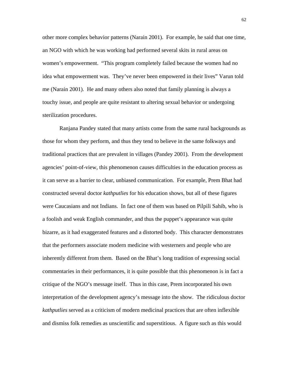other more complex behavior patterns (Narain 2001). For example, he said that one time, an NGO with which he was working had performed several skits in rural areas on women's empowerment. "This program completely failed because the women had no idea what empowerment was. They've never been empowered in their lives" Varun told me (Narain 2001). He and many others also noted that family planning is always a touchy issue, and people are quite resistant to altering sexual behavior or undergoing sterilization procedures.

Ranjana Pandey stated that many artists come from the same rural backgrounds as those for whom they perform, and thus they tend to believe in the same folkways and traditional practices that are prevalent in villages (Pandey 2001). From the development agencies' point-of-view, this phenomenon causes difficulties in the education process as it can serve as a barrier to clear, unbiased communication. For example, Prem Bhat had constructed several doctor *kathputlies* for his education shows, but all of these figures were Caucasians and not Indians. In fact one of them was based on Pilpili Sahib, who is a foolish and weak English commander, and thus the puppet's appearance was quite bizarre, as it had exaggerated features and a distorted body. This character demonstrates that the performers associate modern medicine with westerners and people who are inherently different from them. Based on the Bhat's long tradition of expressing social commentaries in their performances, it is quite possible that this phenomenon is in fact a critique of the NGO's message itself. Thus in this case, Prem incorporated his own interpretation of the development agency's message into the show. The ridiculous doctor *kathputlies* served as a criticism of modern medicinal practices that are often inflexible and dismiss folk remedies as unscientific and superstitious. A figure such as this would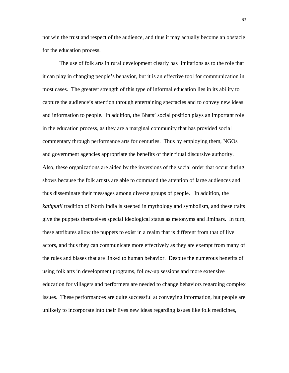not win the trust and respect of the audience, and thus it may actually become an obstacle for the education process.

The use of folk arts in rural development clearly has limitations as to the role that it can play in changing people's behavior, but it is an effective tool for communication in most cases. The greatest strength of this type of informal education lies in its ability to capture the audience's attention through entertaining spectacles and to convey new ideas and information to people. In addition, the Bhats' social position plays an important role in the education process, as they are a marginal community that has provided social commentary through performance arts for centuries. Thus by employing them, NGOs and government agencies appropriate the benefits of their ritual discursive authority. Also, these organizations are aided by the inversions of the social order that occur during shows because the folk artists are able to command the attention of large audiences and thus disseminate their messages among diverse groups of people. In addition, the *kathputli* tradition of North India is steeped in mythology and symbolism, and these traits give the puppets themselves special ideological status as metonyms and liminars. In turn, these attributes allow the puppets to exist in a realm that is different from that of live actors, and thus they can communicate more effectively as they are exempt from many of the rules and biases that are linked to human behavior. Despite the numerous benefits of using folk arts in development programs, follow-up sessions and more extensive education for villagers and performers are needed to change behaviors regarding complex issues. These performances are quite successful at conveying information, but people are unlikely to incorporate into their lives new ideas regarding issues like folk medicines,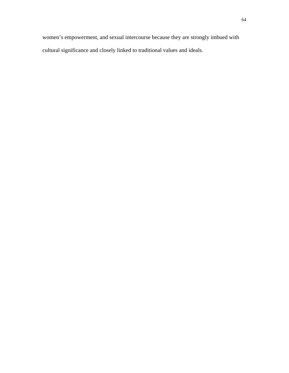women's empowerment, and sexual intercourse because they are strongly imbued with cultural significance and closely linked to traditional values and ideals.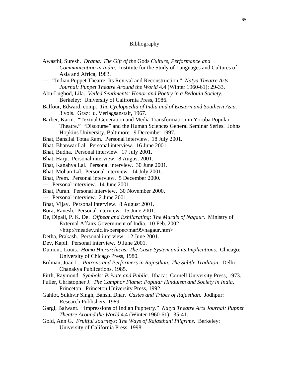## Bibliography

- Awasthi, Suresh. *Drama: The Gift of the* Gods *Culture, Performance and Communication in India*. Institute for the Study of Languages and Cultures of Asia and Africa, 1983. ---. "Indian Puppet Theatre: Its Revival and Reconstruction." *Natya Theatre Arts Journal: Puppet Theatre Around the World* 4.4 (Winter 1960-61): 29-33. Abu-Lughod, Lila. *Veiled Sentiments: Honor and Poetry in a Bedouin Society*. Berkeley: University of California Press, 1986.
- Balfour, Edward, comp. *The Cyclopaedia of India and of Eastern and Southern Asia*. 3 vols. Graz: u. Verlagsanstalt, 1967.
- Barber, Karin. "Textual Generation and Media Transformation in Yoruba Popular Theatre." "Discourse" and the Human Sciences General Seminar Series. Johns Hopkins University, Baltimore. 9 December 1997.
- Bhat, Bansilal Totaa Ram. Personal interview. 18 July 2001.
- Bhat, Bhanwar Lal. Personal interview. 16 June 2001.
- Bhat, Budha. Personal interview. 17 July 2001.
- Bhat, Harji. Personal interview. 8 August 2001.
- Bhat, Kanahya Lal. Personal interview. 30 June 2001.
- Bhat, Mohan Lal. Personal interview. 14 July 2001.
- Bhat, Prem. Personal interview. 5 December 2000.
- ---. Personal interview. 14 June 2001.
- Bhat, Puran. Personal interview. 30 November 2000.
- ---. Personal interview. 2 June 2001.
- Bhat, Vijay. Personal interview. 8 August 2001.
- Bora, Ranesh. Personal interview. 15 June 2001.
- De, Dipali, P. K. De. *Offbeat and Exhilarating: The Murals of Nagaur*. Ministry of External Affairs Government of India. 10 Feb. 2002

<http://meadev.nic.in/perspec/mar99/nagaur.htm>

- Detha, Prakash. Personal interview. 12 June 2001.
- Dev, Kapil. Personal interview. 9 June 2001.
- Dumont, Louis. *Homo Hierarchicus: The Caste System and its Implications*. Chicago: University of Chicago Press, 1980.
- Erdman, Joan L. *Patrons and Performers in Rajasthan: The Subtle Tradition*. Delhi: Chanakya Publications, 1985.
- Firth, Raymond. *Symbols: Private and Public*. Ithaca: Cornell University Press, 1973.
- Fuller, Christopher J. *The Camphor Flame: Popular Hinduism and Society in India*. Princeton: Princeton University Press, 1992.
- Gahlot, Sukhvir Singh, Banshi Dhar. *Castes and Tribes of Rajasthan*. Jodhpur: Research Publishers, 1989.
- Gargi, Balwant. "Impressions of Indian Puppetry." *Natya Theatre Arts Journal: Puppet Theatre Around the World* 4.4 (Winter 1960-61): 35-41.
- Gold, Ann G. *Fruitful Journeys: The Ways of Rajasthani Pilgrims*. Berkeley: University of California Press, 1998.